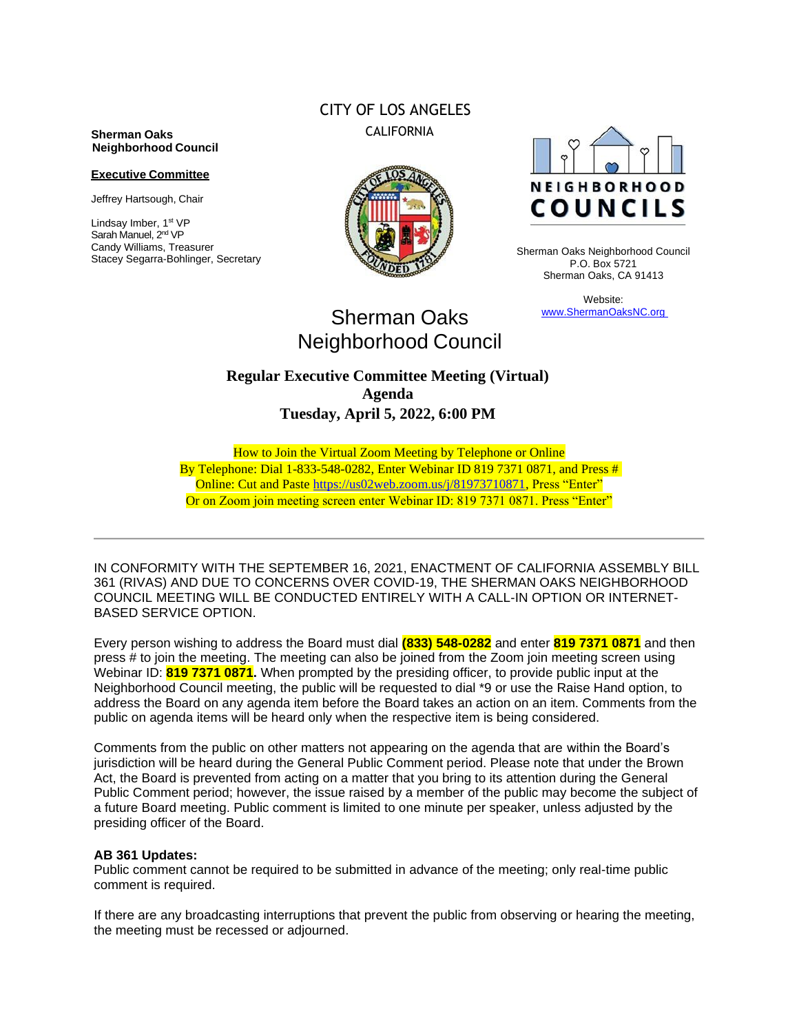#### **Sherman Oaks Neighborhood Council**

#### **Executive Committee**

Jeffrey Hartsough, Chair

Lindsay Imber, 1st VP Sarah Manuel, 2<sup>nd</sup> VP Candy Williams, Treasurer Stacey Segarra-Bohlinger, Secretary

# CITY OF LOS ANGELES CALIFORNIA





Sherman Oaks Neighborhood Council P.O. Box 5721 Sherman Oaks, CA 91413

> Website: www.ShermanOaksNC.org

# Sherman Oaks Neighborhood Council

# **Regular Executive Committee Meeting (Virtual) Agenda Tuesday, April 5, 2022, 6:00 PM**

How to Join the Virtual Zoom Meeting by Telephone or Online By Telephone: Dial 1-833-548-0282, Enter Webinar ID 819 7371 0871, and Press # Online: Cut and Paste [https://us02web.zoom.us/j/81973710871,](https://us02web.zoom.us/j/81973710871) Press "Enter" Or on Zoom join meeting screen enter Webinar ID: 819 7371 0871. Press "Enter"

IN CONFORMITY WITH THE SEPTEMBER 16, 2021, ENACTMENT OF CALIFORNIA ASSEMBLY BILL 361 (RIVAS) AND DUE TO CONCERNS OVER COVID-19, THE SHERMAN OAKS NEIGHBORHOOD COUNCIL MEETING WILL BE CONDUCTED ENTIRELY WITH A CALL-IN OPTION OR INTERNET-BASED SERVICE OPTION.

Every person wishing to address the Board must dial **(833) 548-0282** and enter **819 7371 0871** and then press # to join the meeting. The meeting can also be joined from the Zoom join meeting screen using Webinar ID: **819 7371 0871.** When prompted by the presiding officer, to provide public input at the Neighborhood Council meeting, the public will be requested to dial \*9 or use the Raise Hand option, to address the Board on any agenda item before the Board takes an action on an item. Comments from the public on agenda items will be heard only when the respective item is being considered.

Comments from the public on other matters not appearing on the agenda that are within the Board's jurisdiction will be heard during the General Public Comment period. Please note that under the Brown Act, the Board is prevented from acting on a matter that you bring to its attention during the General Public Comment period; however, the issue raised by a member of the public may become the subject of a future Board meeting. Public comment is limited to one minute per speaker, unless adjusted by the presiding officer of the Board.

#### **AB 361 Updates:**

Public comment cannot be required to be submitted in advance of the meeting; only real-time public comment is required.

If there are any broadcasting interruptions that prevent the public from observing or hearing the meeting, the meeting must be recessed or adjourned.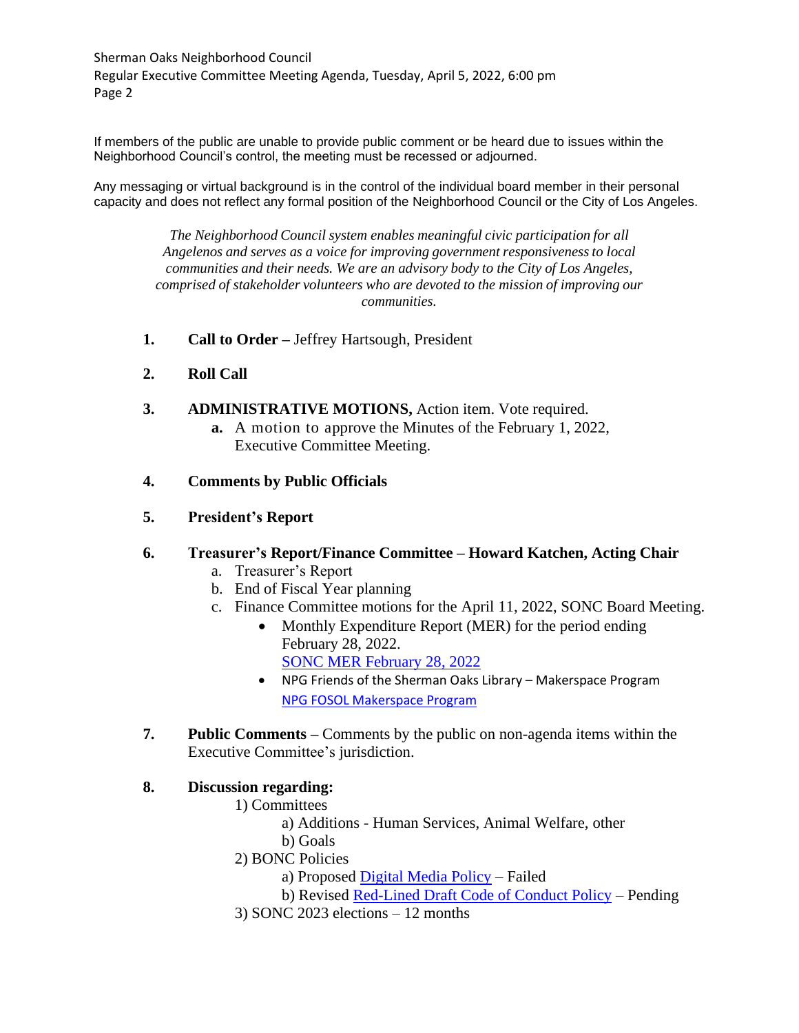Sherman Oaks Neighborhood Council Regular Executive Committee Meeting Agenda, Tuesday, April 5, 2022, 6:00 pm Page 2

If members of the public are unable to provide public comment or be heard due to issues within the Neighborhood Council's control, the meeting must be recessed or adjourned.

Any messaging or virtual background is in the control of the individual board member in their personal capacity and does not reflect any formal position of the Neighborhood Council or the City of Los Angeles.

> *The Neighborhood Council system enables meaningful civic participation for all Angelenos and serves as a voice for improving government responsivenessto local communities and their needs. We are an advisory body to the City of Los Angeles, comprised of stakeholder volunteers who are devoted to the mission of improving our communities.*

- **1. Call to Order –** Jeffrey Hartsough, President
- **2. Roll Call**
- **3. ADMINISTRATIVE MOTIONS,** Action item. Vote required. **a.** A motion to approve the Minutes of the February 1, 2022,
	- Executive Committee Meeting.
- **4. Comments by Public Officials**
- **5. President's Report**

### **6. Treasurer's Report/Finance Committee – Howard Katchen, Acting Chair**

- a. Treasurer's Report
- b. End of Fiscal Year planning
- c. Finance Committee motions for the April 11, 2022, SONC Board Meeting.
	- Monthly Expenditure Report (MER) for the period ending February 28, 2022.
		- [SONC MER February 28, 2022](https://www.shermanoaksnc.org/ncfiles/viewCommitteeFile/29210)
		- NPG Friends of the Sherman Oaks Library Makerspace Program [NPG FOSOL Makerspace Program](https://www.shermanoaksnc.org/ncfiles/viewCommitteeFile/29211)
- **7. Public Comments –** Comments by the public on non-agenda items within the Executive Committee's jurisdiction.

### **8. Discussion regarding:**

- 1) Committees
	- a) Additions Human Services, Animal Welfare, other
	- b) Goals
- 2) BONC Policies
	- a) Proposed [Digital Media Policy](https://www.shermanoaksnc.org/ncfiles/viewCommitteeFile/29212) Failed
	- b) Revised Red-Lined [Draft Code of Conduct](https://www.shermanoaksnc.org/ncfiles/viewCommitteeFile/29213) Policy Pending
- 3) SONC 2023 elections 12 months